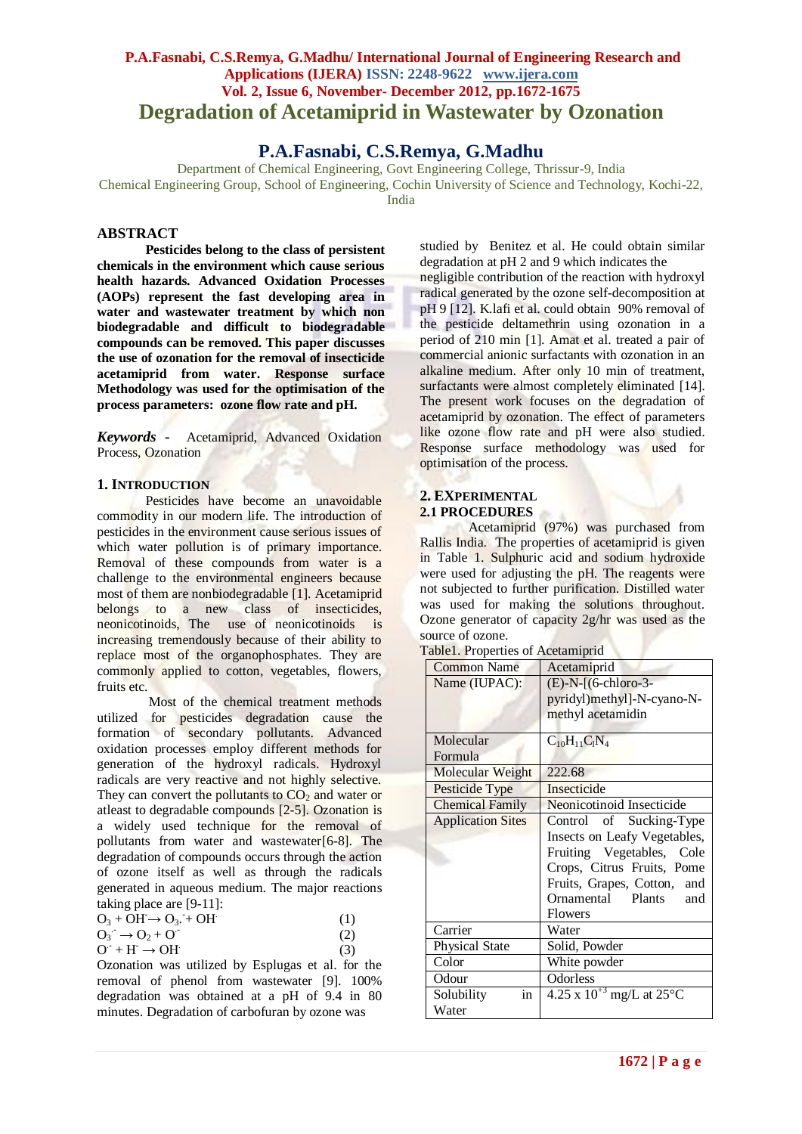## **P.A.Fasnabi, C.S.Remya, G.Madhu/ International Journal of Engineering Research and Applications (IJERA) ISSN: 2248-9622 www.ijera.com Vol. 2, Issue 6, November- December 2012, pp.1672-1675 Degradation of Acetamiprid in Wastewater by Ozonation**

# **P.A.Fasnabi, C.S.Remya, G.Madhu**

Department of Chemical Engineering, Govt Engineering College, Thrissur-9, India Chemical Engineering Group, School of Engineering, Cochin University of Science and Technology, Kochi-22, India

### **ABSTRACT**

**Pesticides belong to the class of persistent chemicals in the environment which cause serious health hazards. Advanced Oxidation Processes (AOPs) represent the fast developing area in water and wastewater treatment by which non biodegradable and difficult to biodegradable compounds can be removed. This paper discusses the use of ozonation for the removal of insecticide acetamiprid from water. Response surface Methodology was used for the optimisation of the process parameters: ozone flow rate and pH.**

*Keywords* **-** Acetamiprid, Advanced Oxidation Process, Ozonation

### **1. INTRODUCTION**

Pesticides have become an unavoidable commodity in our modern life. The introduction of pesticides in the environment cause serious issues of which water pollution is of primary importance. Removal of these compounds from water is a challenge to the environmental engineers because most of them are nonbiodegradable [1]. Acetamiprid belongs to a new class of insecticides, neonicotinoids, The use of neonicotinoids is increasing tremendously because of their ability to replace most of the organophosphates. They are commonly applied to cotton, vegetables, flowers, fruits etc.

 Most of the chemical treatment methods utilized for **pesticides** degradation cause the formation of secondary pollutants. Advanced oxidation processes employ different methods for generation of the hydroxyl radicals. Hydroxyl radicals are very reactive and not highly selective. They can convert the pollutants to  $CO<sub>2</sub>$  and water or atleast to degradable compounds [2-5]. Ozonation is a widely used technique for the removal of pollutants from water and wastewater[6-8]. The degradation of compounds occurs through the action of ozone itself as well as through the radicals generated in aqueous medium. The major reactions taking place are [9-11]:

| $O_3 + OH \rightarrow O_3 + OH$   | (1) |
|-----------------------------------|-----|
| $Q_3$ $\rightarrow$ $Q_2$ + $Q_3$ | (2) |
| $O^+ + H^- \rightarrow OH^-$      | (3) |

Ozonation was utilized by Esplugas et al. for the removal of phenol from wastewater [9]. 100% degradation was obtained at a pH of 9.4 in 80 minutes. Degradation of carbofuran by ozone was

studied by Benitez et al. He could obtain similar degradation at pH 2 and 9 which indicates the negligible contribution of the reaction with hydroxyl radical generated by the ozone self-decomposition at pH 9 [12]. K.lafi et al. could obtain 90% removal of the pesticide deltamethrin using ozonation in a period of 210 min [1]. Amat et al. treated a pair of commercial anionic surfactants with ozonation in an alkaline medium. After only 10 min of treatment, surfactants were almost completely eliminated [14]. The present work focuses on the degradation of acetamiprid by ozonation. The effect of parameters like ozone flow rate and pH were also studied. Response surface methodology was used for optimisation of the process.

#### **2. EXPERIMENTAL 2.1 PROCEDURES**

Acetamiprid (97%) was purchased from Rallis India. The properties of acetamiprid is given in Table 1. Sulphuric acid and sodium hydroxide were used for adjusting the pH. The reagents were not subjected to further purification. Distilled water was used for making the solutions throughout. Ozone generator of capacity 2g/hr was used as the source of ozone.

|  |  | Table1. Properties of Acetamiprid |  |
|--|--|-----------------------------------|--|
|--|--|-----------------------------------|--|

| <b>Common Name</b>                | Acetamiprid                                   |  |  |
|-----------------------------------|-----------------------------------------------|--|--|
| Name (IUPAC):                     | $(E)-N-[$ (6-chloro-3-                        |  |  |
|                                   | pyridyl)methyl]-N-cyano-N-                    |  |  |
|                                   | methyl acetamidin                             |  |  |
| Molecular                         | $C_{10}H_{11}C_1N_4$                          |  |  |
| Formula                           |                                               |  |  |
| Molecular Weight                  | 222.68                                        |  |  |
| Pesticide Type                    | Insecticide                                   |  |  |
| <b>Chemical Family</b>            | Neonicotinoid Insecticide                     |  |  |
| <b>Application Sites</b>          | Control of Sucking-Type                       |  |  |
|                                   | Insects on Leafy Vegetables,                  |  |  |
|                                   | Fruiting Vegetables, Cole                     |  |  |
|                                   | Crops, Citrus Fruits, Pome                    |  |  |
|                                   | Fruits, Grapes, Cotton, and                   |  |  |
|                                   | Ornamental Plants<br>and                      |  |  |
|                                   | <b>Flowers</b>                                |  |  |
| Carrier                           | Water                                         |  |  |
| <b>Physical State</b>             | Solid, Powder                                 |  |  |
| Color                             | White powder                                  |  |  |
| Odour                             | Odorless                                      |  |  |
| $\operatorname{in}$<br>Solubility | $4.25 \times 10^{+3}$ mg/L at 25 $^{\circ}$ C |  |  |
| Water                             |                                               |  |  |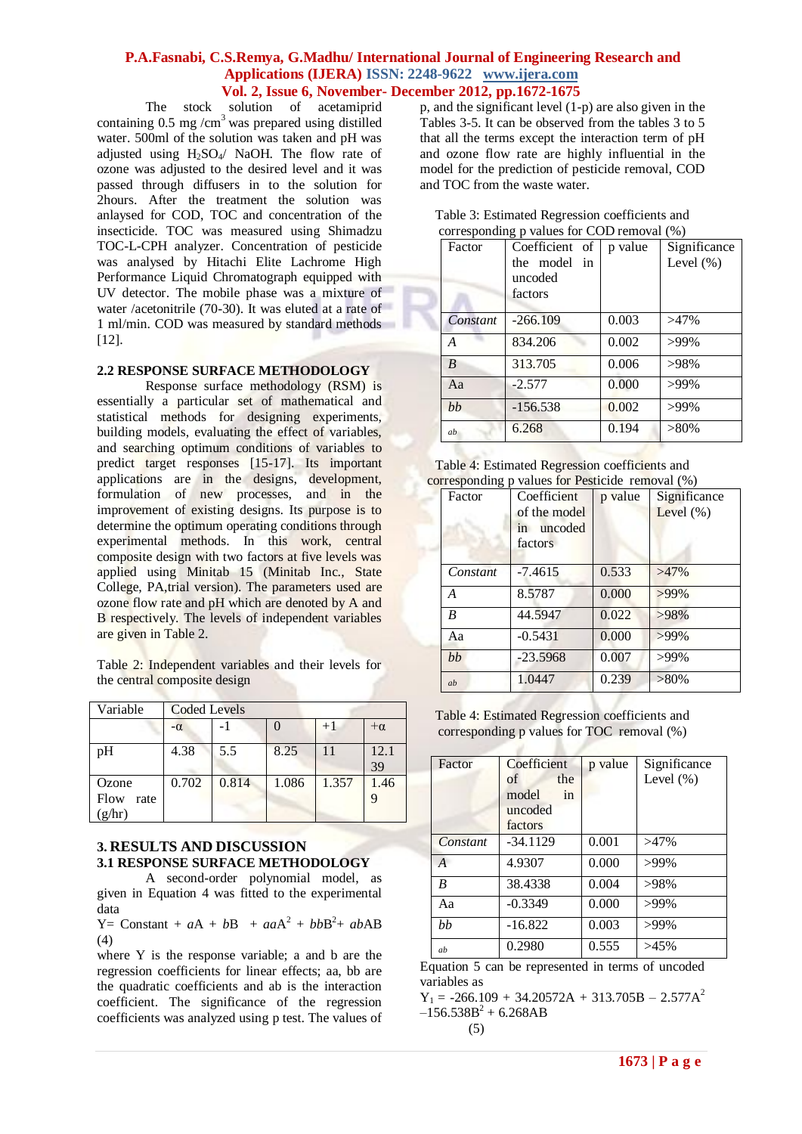### **P.A.Fasnabi, C.S.Remya, G.Madhu/ International Journal of Engineering Research and Applications (IJERA) ISSN: 2248-9622 www.ijera.com Vol. 2, Issue 6, November- December 2012, pp.1672-1675**

 The stock solution of acetamiprid containing  $0.5 \text{ mg/cm}^3$  was prepared using distilled water. 500ml of the solution was taken and pH was adjusted using H2SO4/ NaOH. The flow rate of ozone was adjusted to the desired level and it was passed through diffusers in to the solution for 2hours. After the treatment the solution was anlaysed for COD, TOC and concentration of the insecticide. TOC was measured using Shimadzu TOC-L-CPH analyzer. Concentration of pesticide was analysed by Hitachi Elite Lachrome High Performance Liquid Chromatograph equipped with UV detector. The mobile phase was a mixture of water /acetonitrile (70-30). It was eluted at a rate of 1 ml/min. COD was measured by standard methods [12].

#### **2.2 RESPONSE SURFACE METHODOLOGY**

Response surface methodology (RSM) is essentially a particular set of mathematical and statistical methods for designing experiments, building models, evaluating the effect of variables, and searching optimum conditions of variables to predict target responses [15-17]. Its important applications are in the designs, development, formulation of new processes, and in the improvement of existing designs. Its purpose is to determine the optimum operating conditions through experimental methods. In this work, central composite design with two factors at five levels was applied using Minitab 15 (Minitab Inc., State College, PA,trial version). The parameters used are ozone flow rate and pH which are denoted by A and B respectively. The levels of independent variables are given in Table 2.

Table 2: Independent variables and their levels for the central composite design

| Variable                        | <b>Coded Levels</b> |       |       |       |            |
|---------------------------------|---------------------|-------|-------|-------|------------|
|                                 | $-\alpha$           |       |       | $+1$  | $+\alpha$  |
| pH                              | 4.38                | 5.5   | 8.25  | 11    | 12.1<br>39 |
| Ozone<br>Flow<br>rate<br>(g/hr) | 0.702               | 0.814 | 1.086 | 1.357 | 1.46       |

### **3. RESULTS AND DISCUSSION 3.1 RESPONSE SURFACE METHODOLOGY**

A second-order polynomial model, as given in Equation 4 was fitted to the experimental data

Y = Constant +  $aA + bB + aaA^2 + bbB^2 + abAB$ (4)

where Y is the response variable; a and b are the regression coefficients for linear effects; aa, bb are the quadratic coefficients and ab is the interaction coefficient. The significance of the regression coefficients was analyzed using p test. The values of

p, and the significant level (1-p) are also given in the Tables 3-5. It can be observed from the tables 3 to 5 that all the terms except the interaction term of pH and ozone flow rate are highly influential in the model for the prediction of pesticide removal, COD and TOC from the waste water.

| Factor           | Coefficient of<br>the model in<br>uncoded<br>factors | p value | Significance<br>Level $(\% )$ |
|------------------|------------------------------------------------------|---------|-------------------------------|
| Constant         | $-266.109$                                           | 0.003   | $>47\%$                       |
| A                | 834.206                                              | 0.002   | $>99\%$                       |
| $\boldsymbol{B}$ | 313.705                                              | 0.006   | $>98\%$                       |
| Aa               | $-2.577$                                             | 0.000   | $>99\%$                       |
| bb               | $-156.538$                                           | 0.002   | $>99\%$                       |
| ab               | 6.268                                                | 0.194   | $>80\%$                       |

| Table 3: Estimated Regression coefficients and |  |
|------------------------------------------------|--|
| corresponding p values for COD removal (%)     |  |

| Table 4: Estimated Regression coefficients and   |  |
|--------------------------------------------------|--|
| corresponding p values for Pesticide removal (%) |  |

| 0        |                                                      |         |                               |
|----------|------------------------------------------------------|---------|-------------------------------|
| Factor   | Coefficient<br>of the model<br>in uncoded<br>factors | p value | Significance<br>Level $(\% )$ |
| Constant | $-7.4615$                                            | 0.533   | $>47\%$                       |
| A        | 8.5787                                               | 0.000   | $>99\%$                       |
| B        | 44.5947                                              | 0.022   | >98%                          |
| Aa       | $-0.5431$                                            | 0.000   | $>99\%$                       |
| bb       | $-23.5968$                                           | 0.007   | >99%                          |
| ab       | 1.0447                                               | 0.239   | $>80\%$                       |

Table 4: Estimated Regression coefficients and corresponding p values for TOC removal (%) トン

| Factor         | Coefficient<br>of<br>the<br>model<br>in<br>uncoded<br>factors | p value | Significance<br>Level $(\% )$ |
|----------------|---------------------------------------------------------------|---------|-------------------------------|
| Constant       | $-34.1129$                                                    | 0.001   | $>47\%$                       |
| $\overline{A}$ | 4.9307                                                        | 0.000   | $>99\%$                       |
| B              | 38.4338                                                       | 0.004   | >98%                          |
| Aa             | $-0.3349$                                                     | 0.000   | $>99\%$                       |
| hh             | $-16.822$                                                     | 0.003   | $>99\%$                       |
| ab             | 0.2980                                                        | 0.555   | $>45\%$                       |

Equation 5 can be represented in terms of uncoded variables as

 $Y_1 = -266.109 + 34.20572A + 313.705B - 2.577A^2$  $-156.538B^{2} + 6.268AB$ (5)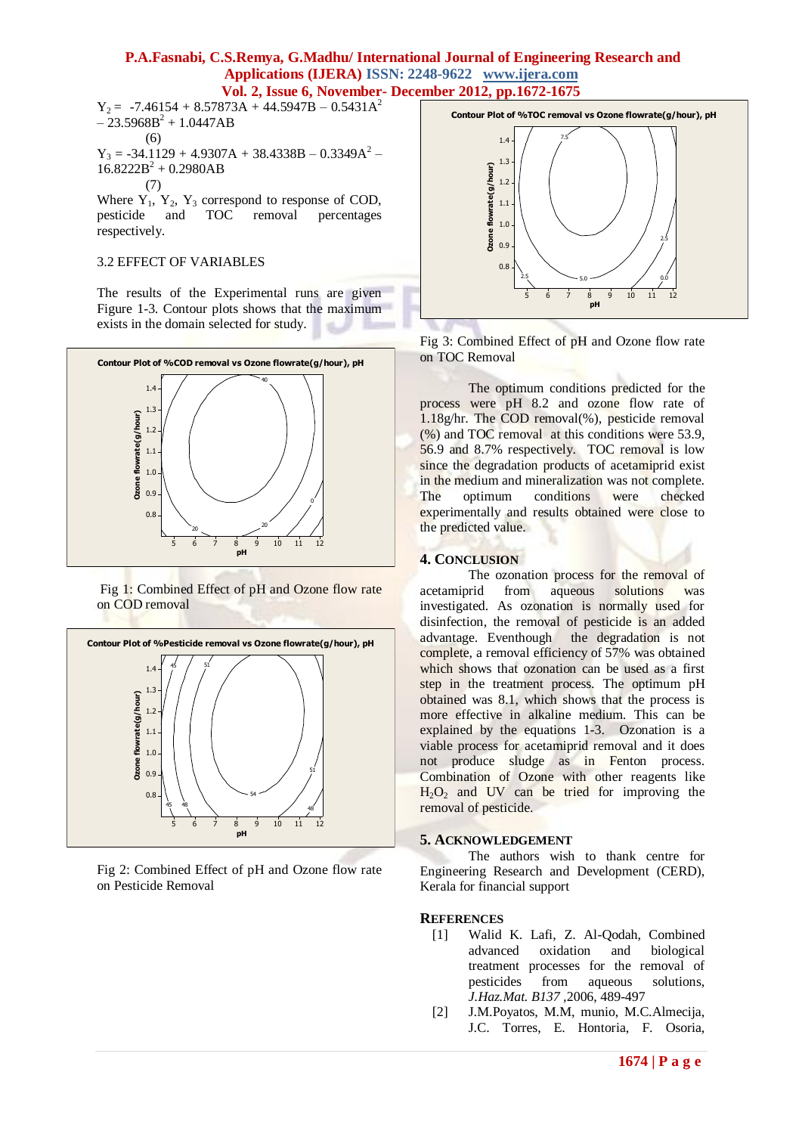### **P.A.Fasnabi, C.S.Remya, G.Madhu/ International Journal of Engineering Research and Applications (IJERA) ISSN: 2248-9622 www.ijera.com Vol. 2, Issue 6, November- December 2012, pp.1672-1675**

 $Y_2$  = -7.46154 + 8.57873A + 44.5947B – 0.5431A<sup>2</sup>  $-23.5968B^{2} + 1.0447AB$ (6)  $Y_3 = -34.1129 + 4.9307A + 38.4338B - 0.3349A^2$  $16.8222B^2 + 0.2980AB$ (7)

Where  $Y_1$ ,  $Y_2$ ,  $Y_3$  correspond to response of COD,<br>pesticide and TOC removal percentages pesticide and TOC removal percentages respectively.

#### 3.2 EFFECT OF VARIABLES

The results of the Experimental runs are given Figure 1-3. Contour plots shows that the maximum exists in the domain selected for study.



Fig 1: Combined Effect of pH and Ozone flow rate on COD removal



Fig 2: Combined Effect of pH and Ozone flow rate on Pesticide Removal



Fig 3: Combined Effect of pH and Ozone flow rate on TOC Removal

The optimum conditions predicted for the process were pH 8.2 and ozone flow rate of 1.18g/hr. The COD removal(%), pesticide removal (%) and TOC removal at this conditions were 53.9, 56.9 and 8.7% respectively. TOC removal is low since the degradation products of acetamiprid exist in the medium and mineralization was not complete. The optimum conditions were checked experimentally and results obtained were close to the predicted value.

#### **4. CONCLUSION**

The ozonation process for the removal of acetamiprid from aqueous solutions was investigated. As ozonation is normally used for disinfection, the removal of pesticide is an added advantage. Eventhough the degradation is not complete, a removal efficiency of 57% was obtained which shows that ozonation can be used as a first step in the treatment process. The optimum pH obtained was 8.1, which shows that the process is more effective in alkaline medium. This can be explained by the equations 1-3. Ozonation is a viable process for acetamiprid removal and it does not produce sludge as in Fenton process. Combination of Ozone with other reagents like  $H_2O_2$  and UV can be tried for improving the removal of pesticide.

#### **5. ACKNOWLEDGEMENT**

The authors wish to thank centre for Engineering Research and Development (CERD), Kerala for financial support

#### **REFERENCES**

- [1] Walid K. Lafi, Z. Al-Qodah, Combined advanced oxidation and biological treatment processes for the removal of pesticides from aqueous solutions, *J.Haz.Mat. B137 ,*2006, 489-497
- [2] J.M.Poyatos, M.M, munio, M.C.Almecija, J.C. Torres, E. Hontoria, F. Osoria,